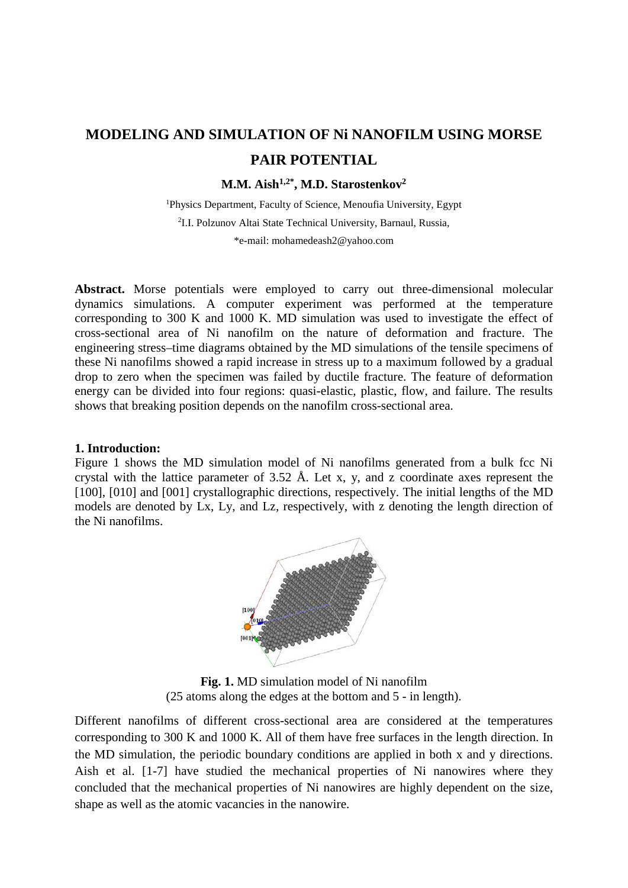# **MODELING AND SIMULATION OF Ni NANOFILM USING MORSE PAIR POTENTIAL**

**M.M. Aish1,2\*, M.D. Starostenkov2**

<sup>1</sup>Physics Department, Faculty of Science, Menoufia University, Egypt 2 I.I. Polzunov Altai State Technical University, Barnaul, Russia,

\*e-mail: [mohamedeash2@yahoo.com](mailto:mohamedeash2@yahoo.com)

**Abstract.** Morse potentials were employed to carry out three-dimensional molecular dynamics simulations. A computer experiment was performed at the temperature corresponding to 300 K and 1000 K. MD simulation was used to investigate the effect of cross-sectional area of Ni nanofilm on the nature of deformation and fracture. The engineering stress–time diagrams obtained by the MD simulations of the tensile specimens of these Ni nanofilms showed a rapid increase in stress up to a maximum followed by a gradual drop to zero when the specimen was failed by ductile fracture. The feature of deformation energy can be divided into four regions: quasi-elastic, plastic, flow, and failure. The results shows that breaking position depends on the nanofilm cross-sectional area.

#### **1. Introduction:**

Figure 1 shows the MD simulation model of Ni nanofilms generated from a bulk fcc Ni crystal with the lattice parameter of 3.52 Å. Let x, y, and z coordinate axes represent the [100], [010] and [001] crystallographic directions, respectively. The initial lengths of the MD models are denoted by Lx, Ly, and Lz, respectively, with z denoting the length direction of the Ni nanofilms.



**Fig. 1.** MD simulation model of Ni nanofilm (25 atoms along the edges at the bottom and 5 - in length).

Different nanofilms of different cross-sectional area are considered at the temperatures corresponding to 300 K and 1000 K. All of them have free surfaces in the length direction. In the MD simulation, the periodic boundary conditions are applied in both x and y directions. Aish et al. [1-7] have studied the mechanical properties of Ni nanowires where they concluded that the mechanical properties of Ni nanowires are highly dependent on the size, shape as well as the atomic vacancies in the nanowire.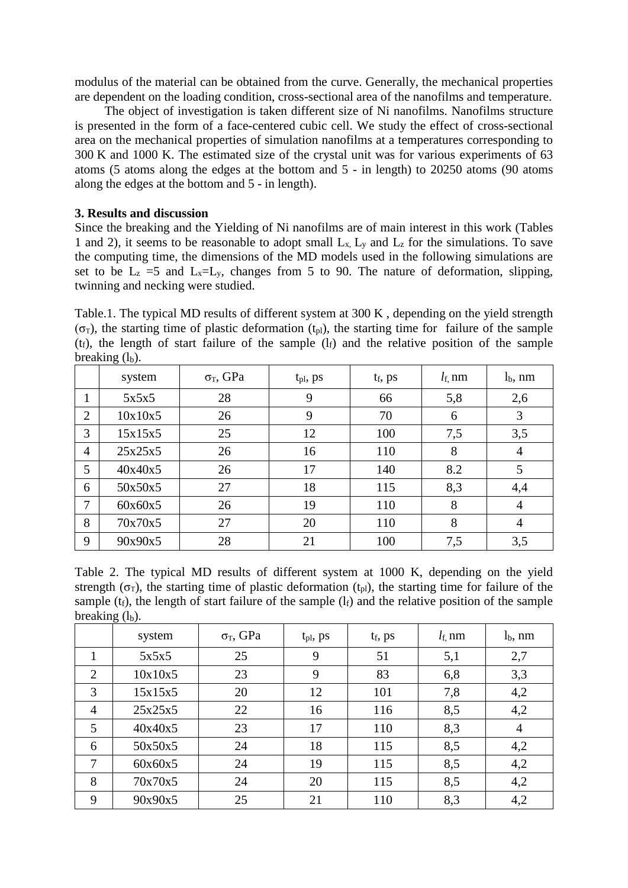modulus of the material can be obtained from the curve. Generally, the mechanical properties are dependent on the loading condition, cross-sectional area of the nanofilms and temperature.

The object of investigation is taken different size of Ni nanofilms. Nanofilms structure is presented in the form of a face-centered cubic cell. We study the effect of cross-sectional area on the mechanical properties of simulation nanofilms at a temperatures corresponding to 300 K and 1000 K. The estimated size of the crystal unit was for various experiments of 63 atoms (5 atoms along the edges at the bottom and 5 - in length) to 20250 atoms (90 atoms along the edges at the bottom and 5 - in length).

## **3. Results and discussion**

Since the breaking and the Yielding of Ni nanofilms are of main interest in this work (Tables 1 and 2), it seems to be reasonable to adopt small  $L_x$ ,  $L_y$  and  $L_z$  for the simulations. To save the computing time, the dimensions of the MD models used in the following simulations are set to be  $L_z = 5$  and  $L_x = L_y$ , changes from 5 to 90. The nature of deformation, slipping, twinning and necking were studied.

Table.1. The typical MD results of different system at 300 K , depending on the yield strength  $(\sigma_T)$ , the starting time of plastic deformation (t<sub>pl</sub>), the starting time for failure of the sample  $(t_f)$ , the length of start failure of the sample  $(l_f)$  and the relative position of the sample breaking  $(l<sub>b</sub>)$ .

|                | system  | $\sigma$ <sub>T</sub> , GPa | $t_{pl}$ , ps | $t_f$ , ps | $l_{\rm f}$ , nm | $lb$ , nm |
|----------------|---------|-----------------------------|---------------|------------|------------------|-----------|
|                | 5x5x5   | 28                          | 9             | 66         | 5,8              | 2,6       |
| 2              | 10x10x5 | 26                          | 9             | 70         | 6                | 3         |
| 3              | 15x15x5 | 25                          | 12            | 100        | 7,5              | 3,5       |
| $\overline{4}$ | 25x25x5 | 26                          | 16            | 110        | 8                | 4         |
| 5              | 40x40x5 | 26                          | 17            | 140        | 8.2              | 5         |
| 6              | 50x50x5 | 27                          | 18            | 115        | 8,3              | 4,4       |
| $\overline{7}$ | 60x60x5 | 26                          | 19            | 110        | 8                | 4         |
| 8              | 70x70x5 | 27                          | 20            | 110        | 8                | 4         |
| 9              | 90x90x5 | 28                          | 21            | 100        | 7,5              | 3,5       |

Table 2. The typical MD results of different system at 1000 K, depending on the yield strength ( $\sigma_T$ ), the starting time of plastic deformation ( $t_{pl}$ ), the starting time for failure of the sample ( $t_f$ ), the length of start failure of the sample ( $l_f$ ) and the relative position of the sample breaking  $(l<sub>b</sub>)$ .

|                | system  | $\sigma$ <sub>T</sub> , GPa | t <sub>pl</sub> , ps | $t_f$ , ps | $l_{\rm f}$ , nm | $lb$ , nm |
|----------------|---------|-----------------------------|----------------------|------------|------------------|-----------|
|                | 5x5x5   | 25                          | 9                    | 51         | 5,1              | 2,7       |
| 2              | 10x10x5 | 23                          | 9                    | 83         | 6,8              | 3,3       |
| 3              | 15x15x5 | 20                          | 12                   | 101        | 7,8              | 4,2       |
| $\overline{4}$ | 25x25x5 | 22                          | 16                   | 116        | 8,5              | 4,2       |
| 5              | 40x40x5 | 23                          | 17                   | 110        | 8,3              | 4         |
| 6              | 50x50x5 | 24                          | 18                   | 115        | 8,5              | 4,2       |
| 7              | 60x60x5 | 24                          | 19                   | 115        | 8,5              | 4,2       |
| 8              | 70x70x5 | 24                          | 20                   | 115        | 8,5              | 4,2       |
| 9              | 90x90x5 | 25                          | 21                   | 110        | 8,3              | 4,2       |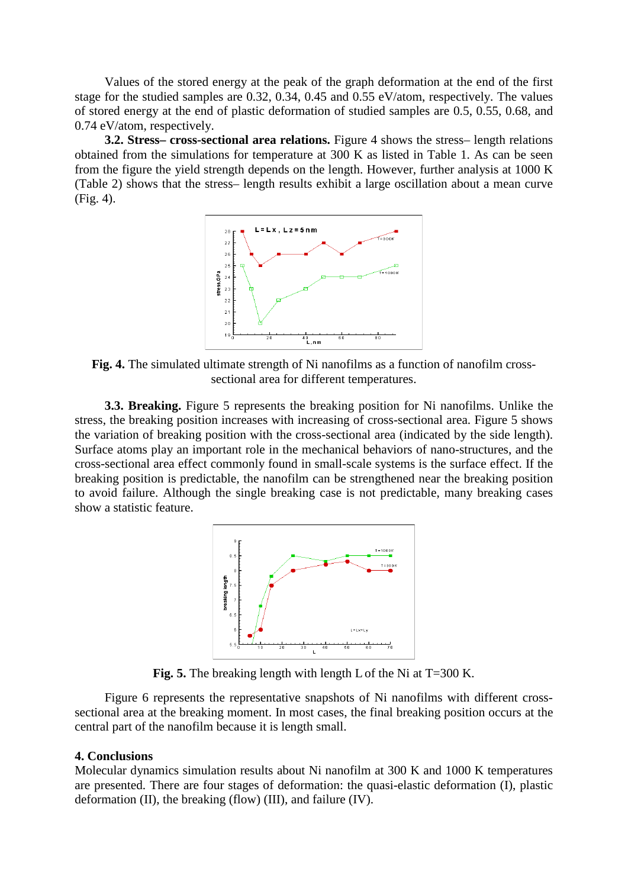Values of the stored energy at the peak of the graph deformation at the end of the first stage for the studied samples are 0.32, 0.34, 0.45 and 0.55 eV/atom, respectively. The values of stored energy at the end of plastic deformation of studied samples are 0.5, 0.55, 0.68, and 0.74 eV/atom, respectively.

**3.2. Stress– cross-sectional area relations.** Figure 4 shows the stress– length relations obtained from the simulations for temperature at 300 K as listed in Table 1. As can be seen from the figure the yield strength depends on the length. However, further analysis at 1000 K (Table 2) shows that the stress– length results exhibit a large oscillation about a mean curve (Fig. 4).



**Fig. 4.** The simulated ultimate strength of Ni nanofilms as a function of nanofilm crosssectional area for different temperatures.

**3.3. Breaking.** Figure 5 represents the breaking position for Ni nanofilms. Unlike the stress, the breaking position increases with increasing of cross-sectional area. Figure 5 shows the variation of breaking position with the cross-sectional area (indicated by the side length). Surface atoms play an important role in the mechanical behaviors of nano-structures, and the cross-sectional area effect commonly found in small-scale systems is the surface effect. If the breaking position is predictable, the nanofilm can be strengthened near the breaking position to avoid failure. Although the single breaking case is not predictable, many breaking cases show a statistic feature.



**Fig. 5.** The breaking length with length Lof the Ni at T=300 K.

Figure 6 represents the representative snapshots of Ni nanofilms with different crosssectional area at the breaking moment. In most cases, the final breaking position occurs at the central part of the nanofilm because it is length small.

## **4. Conclusions**

Molecular dynamics simulation results about Ni nanofilm at 300 K and 1000 K temperatures are presented. There are four stages of deformation: the quasi-elastic deformation (I), plastic deformation (II), the breaking (flow) (III), and failure (IV).